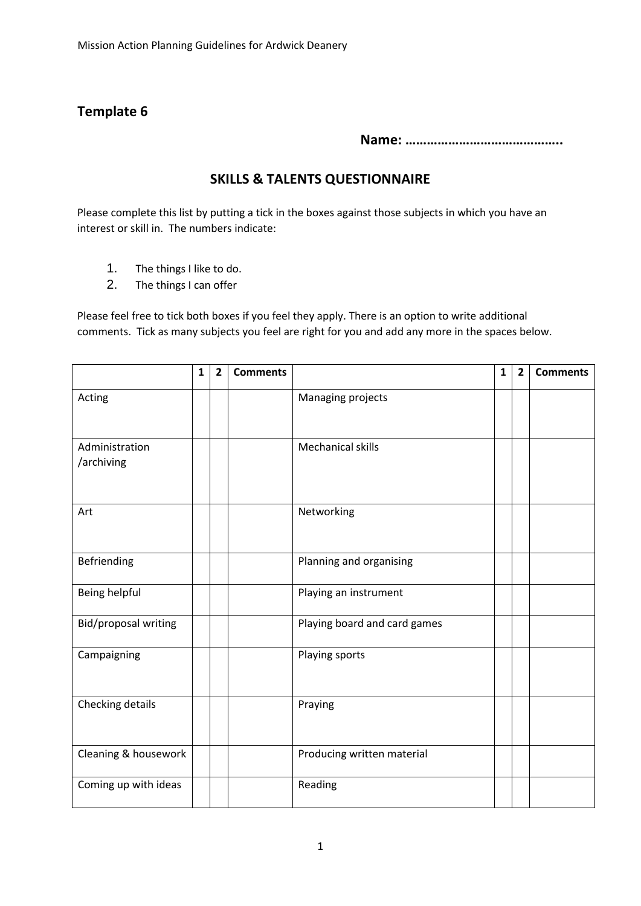## **Template 6**

**Name: ……………………………………..** 

## **SKILLS & TALENTS QUESTIONNAIRE**

Please complete this list by putting a tick in the boxes against those subjects in which you have an interest or skill in. The numbers indicate:

- 1. The things I like to do.
- 2. The things I can offer

Please feel free to tick both boxes if you feel they apply. There is an option to write additional comments. Tick as many subjects you feel are right for you and add any more in the spaces below.

|                              | $\mathbf{1}$ | $\overline{2}$ | <b>Comments</b> |                              | $\mathbf{1}$ | $\overline{2}$ | <b>Comments</b> |
|------------------------------|--------------|----------------|-----------------|------------------------------|--------------|----------------|-----------------|
| Acting                       |              |                |                 | Managing projects            |              |                |                 |
| Administration<br>/archiving |              |                |                 | <b>Mechanical skills</b>     |              |                |                 |
| Art                          |              |                |                 | Networking                   |              |                |                 |
| Befriending                  |              |                |                 | Planning and organising      |              |                |                 |
| Being helpful                |              |                |                 | Playing an instrument        |              |                |                 |
| Bid/proposal writing         |              |                |                 | Playing board and card games |              |                |                 |
| Campaigning                  |              |                |                 | Playing sports               |              |                |                 |
| Checking details             |              |                |                 | Praying                      |              |                |                 |
| Cleaning & housework         |              |                |                 | Producing written material   |              |                |                 |
| Coming up with ideas         |              |                |                 | Reading                      |              |                |                 |